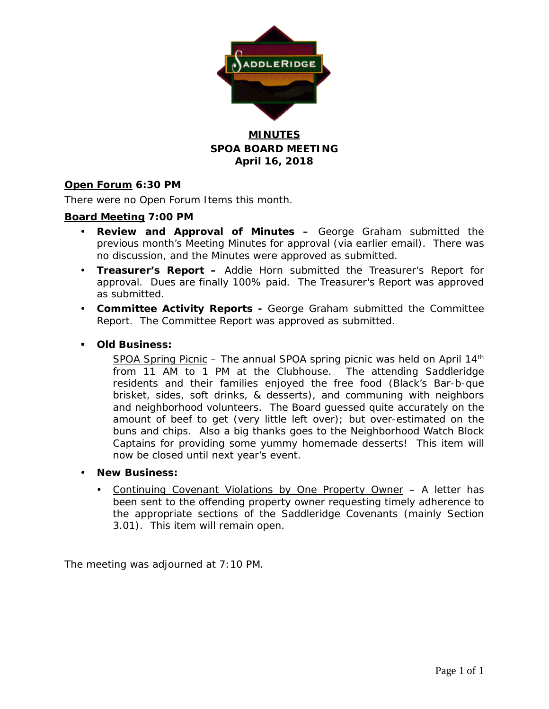

## **MINUTES SPOA BOARD MEETING April 16, 2018**

## **Open Forum 6:30 PM**

There were no Open Forum Items this month.

## **Board Meeting 7:00 PM**

- **Review and Approval of Minutes –** George Graham submitted the previous month's Meeting Minutes for approval (via earlier email). There was no discussion, and the Minutes were approved as submitted.
- **Treasurer's Report –** Addie Horn submitted the Treasurer's Report for approval. Dues are finally 100% paid. The Treasurer's Report was approved as submitted.
- **Committee Activity Reports -** George Graham submitted the Committee Report. The Committee Report was approved as submitted.

### **Old Business:**

SPOA Spring Picnic – The annual SPOA spring picnic was held on April 14<sup>th</sup> from 11 AM to 1 PM at the Clubhouse. The attending Saddleridge residents and their families enjoyed the free food (Black's Bar-b-que brisket, sides, soft drinks, & desserts), and communing with neighbors and neighborhood volunteers. The Board guessed quite accurately on the amount of beef to get (very little left over); but over-estimated on the buns and chips. Also a big thanks goes to the Neighborhood Watch Block Captains for providing some yummy homemade desserts! This item will now be closed until next year's event.

- **New Business:**
	- Continuing Covenant Violations by One Property Owner A letter has been sent to the offending property owner requesting timely adherence to the appropriate sections of the Saddleridge Covenants (mainly Section 3.01). This item will remain open.

The meeting was adjourned at 7:10 PM.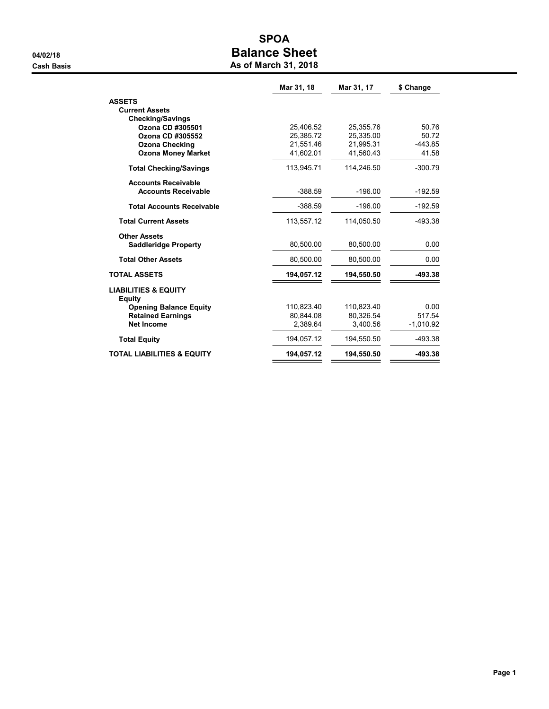# SPOA 04/02/18 **Balance Sheet Cash Basis** Cash Basis **As of March 31, 2018**

|                                                  | Mar 31, 18 | Mar 31, 17 | \$ Change   |
|--------------------------------------------------|------------|------------|-------------|
| <b>ASSETS</b>                                    |            |            |             |
| <b>Current Assets</b>                            |            |            |             |
| <b>Checking/Savings</b>                          |            |            |             |
| Ozona CD #305501                                 | 25,406.52  | 25,355.76  | 50.76       |
| Ozona CD #305552                                 | 25,385.72  | 25,335.00  | 50.72       |
| <b>Ozona Checking</b>                            | 21.551.46  | 21.995.31  | $-443.85$   |
| <b>Ozona Money Market</b>                        | 41,602.01  | 41,560.43  | 41.58       |
| <b>Total Checking/Savings</b>                    | 113,945.71 | 114,246.50 | $-300.79$   |
| <b>Accounts Receivable</b>                       |            |            |             |
| <b>Accounts Receivable</b>                       | $-388.59$  | $-196.00$  | $-192.59$   |
| <b>Total Accounts Receivable</b>                 | $-388.59$  | $-196.00$  | $-192.59$   |
| <b>Total Current Assets</b>                      | 113.557.12 | 114,050.50 | -493.38     |
| <b>Other Assets</b>                              |            |            |             |
| <b>Saddleridge Property</b>                      | 80.500.00  | 80,500.00  | 0.00        |
| <b>Total Other Assets</b>                        | 80,500.00  | 80,500.00  | 0.00        |
| <b>TOTAL ASSETS</b>                              | 194,057.12 | 194,550.50 | -493.38     |
| <b>LIABILITIES &amp; EQUITY</b><br><b>Equity</b> |            |            |             |
| <b>Opening Balance Equity</b>                    | 110.823.40 | 110,823.40 | 0.00        |
| <b>Retained Earnings</b>                         | 80.844.08  | 80.326.54  | 517.54      |
| <b>Net Income</b>                                | 2,389.64   | 3,400.56   | $-1,010.92$ |
| <b>Total Equity</b>                              | 194,057.12 | 194,550.50 | -493.38     |
| <b>TOTAL LIABILITIES &amp; EQUITY</b>            | 194,057.12 | 194,550.50 | -493.38     |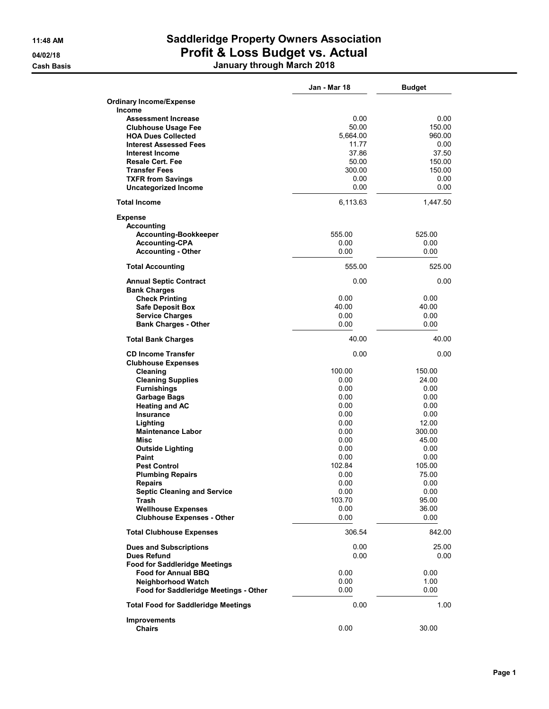# 11:48 AM Saddleridge Property Owners Association 04/02/18 **Profit & Loss Budget vs. Actual** Cash Basis January through March 2018

|                                                          | Jan - Mar 18   | <b>Budget</b>   |
|----------------------------------------------------------|----------------|-----------------|
| <b>Ordinary Income/Expense</b>                           |                |                 |
| <b>Income</b>                                            |                |                 |
| <b>Assessment Increase</b><br><b>Clubhouse Usage Fee</b> | 0.00<br>50.00  | 0.00<br>150.00  |
| <b>HOA Dues Collected</b>                                | 5,664.00       | 960.00          |
| <b>Interest Assessed Fees</b>                            | 11.77          | 0.00            |
| Interest Income                                          | 37.86          | 37.50           |
| <b>Resale Cert. Fee</b>                                  | 50.00          | 150.00          |
| <b>Transfer Fees</b>                                     | 300.00         | 150.00          |
| <b>TXFR from Savings</b>                                 | 0.00           | 0.00            |
| <b>Uncategorized Income</b>                              | 0.00           | 0.00            |
| <b>Total Income</b>                                      | 6,113.63       | 1,447.50        |
| <b>Expense</b>                                           |                |                 |
| <b>Accounting</b>                                        |                |                 |
| <b>Accounting-Bookkeeper</b><br><b>Accounting-CPA</b>    | 555.00<br>0.00 | 525.00<br>0.00  |
| <b>Accounting - Other</b>                                | 0.00           | 0.00            |
|                                                          |                |                 |
| <b>Total Accounting</b>                                  | 555.00         | 525.00          |
| <b>Annual Septic Contract</b><br><b>Bank Charges</b>     | 0.00           | 0.00            |
| <b>Check Printing</b>                                    | 0.00           | 0.00            |
| <b>Safe Deposit Box</b>                                  | 40.00          | 40.00           |
| <b>Service Charges</b>                                   | 0.00           | 0.00            |
| <b>Bank Charges - Other</b>                              | 0.00           | 0.00            |
| <b>Total Bank Charges</b>                                | 40.00          | 40.00           |
| <b>CD Income Transfer</b>                                | 0.00           | 0.00            |
| <b>Clubhouse Expenses</b>                                | 100.00         |                 |
| Cleaning<br><b>Cleaning Supplies</b>                     | 0.00           | 150.00<br>24.00 |
| <b>Furnishings</b>                                       | 0.00           | 0.00            |
| <b>Garbage Bags</b>                                      | 0.00           | 0.00            |
| <b>Heating and AC</b>                                    | 0.00           | 0.00            |
| <b>Insurance</b>                                         | 0.00           | 0.00            |
| Lighting                                                 | 0.00           | 12.00           |
| <b>Maintenance Labor</b>                                 | 0.00           | 300.00          |
| Misc                                                     | 0.00           | 45.00           |
| <b>Outside Lighting</b>                                  | 0.00           | 0.00            |
| Paint                                                    | 0.00           | 0.00            |
| <b>Pest Control</b>                                      | 102.84         | 105.00          |
| <b>Plumbing Repairs</b>                                  | 0.00           | 75.00           |
| Repairs<br><b>Septic Cleaning and Service</b>            | 0.00<br>0.00   | 0.00<br>0.00    |
| Trash                                                    | 103.70         | 95.00           |
| <b>Wellhouse Expenses</b>                                | 0.00           | 36.00           |
| <b>Clubhouse Expenses - Other</b>                        | 0.00           | 0.00            |
| <b>Total Clubhouse Expenses</b>                          | 306.54         | 842.00          |
| <b>Dues and Subscriptions</b>                            | 0.00           | 25.00           |
| <b>Dues Refund</b>                                       | 0.00           | 0.00            |
| <b>Food for Saddleridge Meetings</b>                     |                |                 |
| <b>Food for Annual BBQ</b>                               | 0.00           | 0.00            |
| <b>Neighborhood Watch</b>                                | 0.00           | 1.00            |
| Food for Saddleridge Meetings - Other                    | 0.00           | 0.00            |
| <b>Total Food for Saddleridge Meetings</b>               | 0.00           | 1.00            |
| <b>Improvements</b>                                      |                |                 |
| <b>Chairs</b>                                            | 0.00           | 30.00           |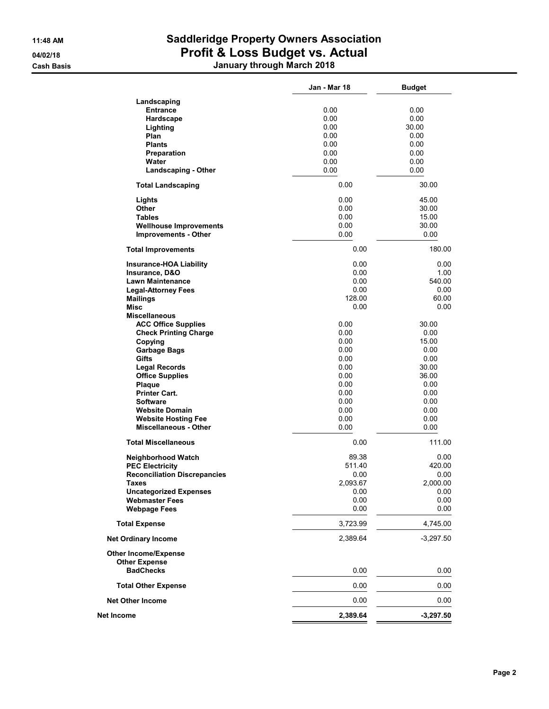# 11:48 AM Saddleridge Property Owners Association 04/02/18 **Profit & Loss Budget vs. Actual** Cash Basis January through March 2018

|                                                     | Jan - Mar 18 | <b>Budget</b> |
|-----------------------------------------------------|--------------|---------------|
| Landscaping                                         |              |               |
| <b>Entrance</b>                                     | 0.00         | 0.00          |
| Hardscape                                           | 0.00         | 0.00          |
| Lighting                                            | 0.00         | 30.00         |
| Plan                                                | 0.00         | 0.00          |
| <b>Plants</b>                                       | 0.00         | 0.00          |
|                                                     | 0.00         | 0.00          |
| <b>Preparation</b>                                  |              |               |
| Water                                               | 0.00         | 0.00          |
| <b>Landscaping - Other</b>                          | 0.00         | 0.00          |
| <b>Total Landscaping</b>                            | 0.00         | 30.00         |
| Lights                                              | 0.00         | 45.00         |
| Other                                               | 0.00         | 30.00         |
| <b>Tables</b>                                       | 0.00         | 15.00         |
| <b>Wellhouse Improvements</b>                       | 0.00         | 30.00         |
| <b>Improvements - Other</b>                         | 0.00         | 0.00          |
| <b>Total Improvements</b>                           | 0.00         | 180.00        |
| <b>Insurance-HOA Liability</b>                      | 0.00         | 0.00          |
| Insurance, D&O                                      | 0.00         | 1.00          |
| <b>Lawn Maintenance</b>                             | 0.00         | 540.00        |
| <b>Legal-Attorney Fees</b>                          | 0.00         | 0.00          |
| <b>Mailings</b>                                     | 128.00       | 60.00         |
| Misc                                                | 0.00         | 0.00          |
| <b>Miscellaneous</b>                                |              |               |
| <b>ACC Office Supplies</b>                          | 0.00         | 30.00         |
| <b>Check Printing Charge</b>                        | 0.00         | 0.00          |
| Copying                                             | 0.00         | 15.00         |
| <b>Garbage Bags</b>                                 | 0.00         | 0.00          |
| Gifts                                               | 0.00         | 0.00          |
| <b>Legal Records</b>                                | 0.00         | 30.00         |
|                                                     | 0.00         |               |
| <b>Office Supplies</b>                              |              | 36.00         |
| Plaque                                              | 0.00         | 0.00          |
| <b>Printer Cart.</b>                                | 0.00         | 0.00          |
| <b>Software</b>                                     | 0.00         | 0.00          |
| <b>Website Domain</b>                               | 0.00         | 0.00          |
| <b>Website Hosting Fee</b>                          | 0.00         | 0.00          |
| <b>Miscellaneous - Other</b>                        | 0.00         | 0.00          |
| <b>Total Miscellaneous</b>                          | 0.00         | 111.00        |
| Neighborhood Watch                                  | 89.38        | 0.00          |
| <b>PEC Electricity</b>                              | 511.40       | 420.00        |
| <b>Reconciliation Discrepancies</b>                 | 0.00         | 0.00          |
| Taxes                                               | 2,093.67     | 2,000.00      |
| <b>Uncategorized Expenses</b>                       | 0.00         | 0.00          |
| <b>Webmaster Fees</b>                               | 0.00         | 0.00          |
| <b>Webpage Fees</b>                                 | 0.00         | 0.00          |
| <b>Total Expense</b>                                | 3,723.99     | 4,745.00      |
| <b>Net Ordinary Income</b>                          | 2,389.64     | $-3,297.50$   |
| <b>Other Income/Expense</b><br><b>Other Expense</b> |              |               |
| <b>BadChecks</b>                                    | 0.00         | 0.00          |
| <b>Total Other Expense</b>                          | 0.00         | 0.00          |
| <b>Net Other Income</b>                             | 0.00         | 0.00          |
| Net Income                                          | 2,389.64     | $-3,297.50$   |
|                                                     |              |               |